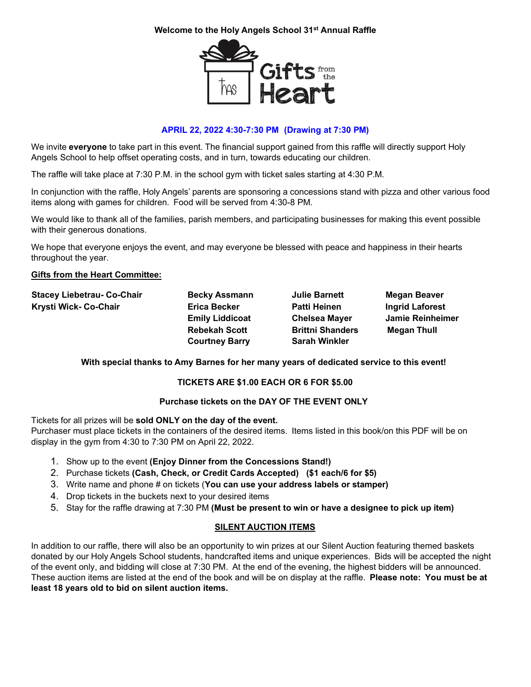## **Welcome to the Holy Angels School 31st Annual Raffle**



# **APRIL 22, 2022 4:30-7:30 PM (Drawing at 7:30 PM)**

We invite **everyone** to take part in this event. The financial support gained from this raffle will directly support Holy Angels School to help offset operating costs, and in turn, towards educating our children.

The raffle will take place at 7:30 P.M. in the school gym with ticket sales starting at 4:30 P.M.

In conjunction with the raffle, Holy Angels' parents are sponsoring a concessions stand with pizza and other various food items along with games for children. Food will be served from 4:30-8 PM.

We would like to thank all of the families, parish members, and participating businesses for making this event possible with their generous donations.

We hope that everyone enjoys the event, and may everyone be blessed with peace and happiness in their hearts throughout the year.

#### **Gifts from the Heart Committee:**

| <b>Stacey Liebetrau- Co-Chair</b><br>Krysti Wick- Co-Chair | <b>Becky Assmann</b><br><b>Erica Becker</b>   | <b>Julie Barnett</b><br><b>Patti Heinen</b>     | <b>Megan Beaver</b><br><b>Ingrid Laforest</b> |
|------------------------------------------------------------|-----------------------------------------------|-------------------------------------------------|-----------------------------------------------|
|                                                            | <b>Emily Liddicoat</b>                        | <b>Chelsea Mayer</b>                            | Jamie Reinheimer                              |
|                                                            | <b>Rebekah Scott</b><br><b>Courtney Barry</b> | <b>Brittni Shanders</b><br><b>Sarah Winkler</b> | <b>Megan Thull</b>                            |

## **With special thanks to Amy Barnes for her many years of dedicated service to this event!**

## **TICKETS ARE \$1.00 EACH OR 6 FOR \$5.00**

#### **Purchase tickets on the DAY OF THE EVENT ONLY**

Tickets for all prizes will be **sold ONLY on the day of the event.** Purchaser must place tickets in the containers of the desired items. Items listed in this book/on this PDF will be on display in the gym from 4:30 to 7:30 PM on April 22, 2022.

- 1. Show up to the event **(Enjoy Dinner from the Concessions Stand!)**
- 2. Purchase tickets **(Cash, Check, or Credit Cards Accepted) (\$1 each/6 for \$5)**
- 3. Write name and phone # on tickets (**You can use your address labels or stamper)**
- 4. Drop tickets in the buckets next to your desired items
- 5. Stay for the raffle drawing at 7:30 PM **(Must be present to win or have a designee to pick up item)**

## **SILENT AUCTION ITEMS**

In addition to our raffle, there will also be an opportunity to win prizes at our Silent Auction featuring themed baskets donated by our Holy Angels School students, handcrafted items and unique experiences. Bids will be accepted the night of the event only, and bidding will close at 7:30 PM. At the end of the evening, the highest bidders will be announced. These auction items are listed at the end of the book and will be on display at the raffle. **Please note: You must be at least 18 years old to bid on silent auction items.**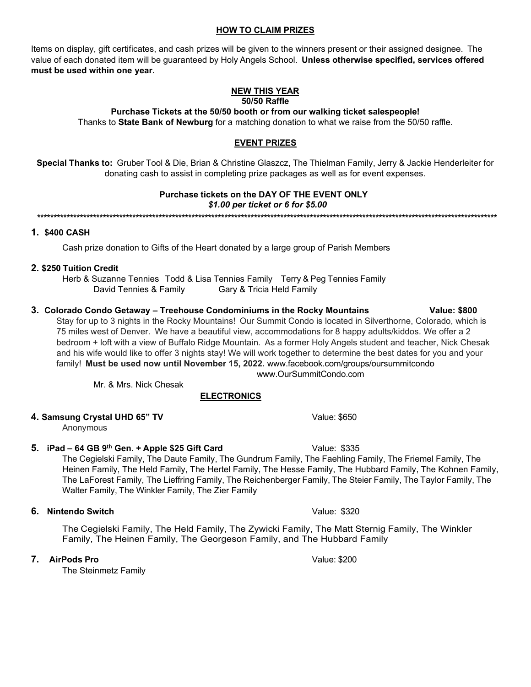#### **HOW TO CLAIM PRIZES**

Items on display, gift certificates, and cash prizes will be given to the winners present or their assigned designee. The value of each donated item will be guaranteed by Holy Angels School. **Unless otherwise specified, services offered must be used within one year.**

#### **NEW THIS YEAR 50/50 Raffle**

**Purchase Tickets at the 50/50 booth or from our walking ticket salespeople!** Thanks to **State Bank of Newburg** for a matching donation to what we raise from the 50/50 raffle.

# **EVENT PRIZES**

**Special Thanks to:** Gruber Tool & Die, Brian & Christine Glaszcz, The Thielman Family, Jerry & Jackie Henderleiter for donating cash to assist in completing prize packages as well as for event expenses.

# **Purchase tickets on the DAY OF THE EVENT ONLY**

#### *\$1.00 per ticket or 6 for \$5.00*

**\*\*\*\*\*\*\*\*\*\*\*\*\*\*\*\*\*\*\*\*\*\*\*\*\*\*\*\*\*\*\*\*\*\*\*\*\*\*\*\*\*\*\*\*\*\*\*\*\*\*\*\*\*\*\*\*\*\*\*\*\*\*\*\*\*\*\*\*\*\*\*\*\*\*\*\*\*\*\*\*\*\*\*\*\*\*\*\*\*\*\*\*\*\*\*\*\*\*\*\*\*\*\*\*\*\*\*\*\*\*\*\*\*\*\*\*\*\*\*\*\*\*\*\*\*\*\*\*\*\*\*\*\*\*\*\*\*\*\*\***

#### **1. \$400 CASH**

Cash prize donation to Gifts of the Heart donated by a large group of Parish Members

#### **2. \$250 Tuition Credit**

Herb & Suzanne Tennies Todd & Lisa Tennies Family Terry & Peg Tennies Family David Tennies & Family **Gary & Tricia Held Family** 

# **3. Colorado Condo Getaway – Treehouse Condominiums in the Rocky Mountains Value: \$800**

Stay for up to 3 nights in the Rocky Mountains! Our Summit Condo is located in Silverthorne, Colorado, which is 75 miles west of Denver. We have a beautiful view, accommodations for 8 happy adults/kiddos. We offer a 2 bedroom + loft with a view of Buffalo Ridge Mountain. As a former Holy Angels student and teacher, Nick Chesak and his wife would like to offer 3 nights stay! We will work together to determine the best dates for you and your family! **Must be used now until November 15, 2022.** [www.facebook.com/groups/oursummitcondo](http://www.facebook.com/groups/oursummitcondo) [www.OurSummitCondo.com](http://www.oursummitcondo.com/)

Mr. & Mrs. Nick Chesak

## **ELECTRONICS**

## **4. Samsung Crystal UHD 65" TV CHALL ASSESS AND RESPONDENT VALUE: \$650**

Anonymous

## **5. iPad – 64 GB 9th Gen. + Apple \$25 Gift Card** Value: \$335

The Cegielski Family, The Daute Family, The Gundrum Family, The Faehling Family, The Friemel Family, The Heinen Family, The Held Family, The Hertel Family, The Hesse Family, The Hubbard Family, The Kohnen Family, The LaForest Family, The Lieffring Family, The Reichenberger Family, The Steier Family, The Taylor Family, The Walter Family, The Winkler Family, The Zier Family

## **6. Nintendo Switch** Value: \$320

The Cegielski Family, The Held Family, The Zywicki Family, The Matt Sternig Family, The Winkler Family, The Heinen Family, The Georgeson Family, and The Hubbard Family

**7. AirPods Pro** Value: \$200

The Steinmetz Family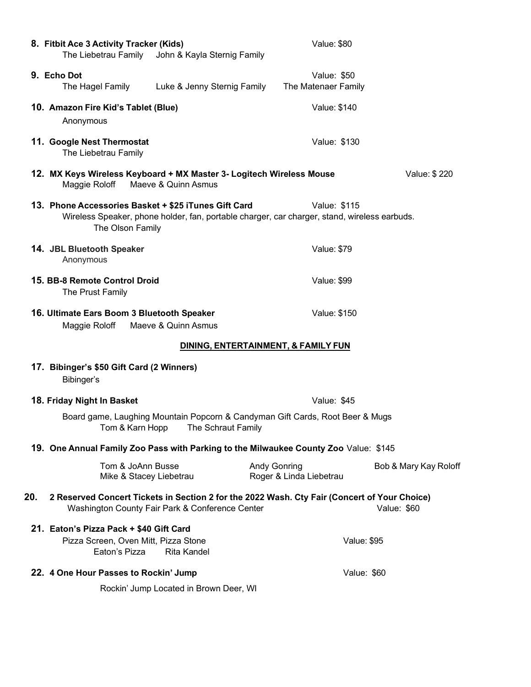| 8. Fitbit Ace 3 Activity Tracker (Kids)<br>The Liebetrau Family<br>John & Kayla Sternig Family                                                                           | Value: \$80                                                             |  |
|--------------------------------------------------------------------------------------------------------------------------------------------------------------------------|-------------------------------------------------------------------------|--|
| 9. Echo Dot<br>Luke & Jenny Sternig Family<br>The Hagel Family                                                                                                           | Value: \$50<br>The Matenaer Family                                      |  |
| 10. Amazon Fire Kid's Tablet (Blue)<br>Anonymous                                                                                                                         | Value: \$140                                                            |  |
| 11. Google Nest Thermostat<br>The Liebetrau Family                                                                                                                       | Value: \$130                                                            |  |
| 12. MX Keys Wireless Keyboard + MX Master 3- Logitech Wireless Mouse<br>Value: \$220<br>Maeve & Quinn Asmus<br>Maggie Roloff                                             |                                                                         |  |
| 13. Phone Accessories Basket + \$25 iTunes Gift Card<br>Wireless Speaker, phone holder, fan, portable charger, car charger, stand, wireless earbuds.<br>The Olson Family | Value: \$115                                                            |  |
| 14. JBL Bluetooth Speaker<br>Anonymous                                                                                                                                   | <b>Value: \$79</b>                                                      |  |
| 15. BB-8 Remote Control Droid<br>The Prust Family                                                                                                                        | <b>Value: \$99</b>                                                      |  |
| 16. Ultimate Ears Boom 3 Bluetooth Speaker<br>Maggie Roloff<br>Maeve & Quinn Asmus                                                                                       | Value: \$150                                                            |  |
| DINING, ENTERTAINMENT, & FAMILY FUN                                                                                                                                      |                                                                         |  |
| 17. Bibinger's \$50 Gift Card (2 Winners)<br>Bibinger's                                                                                                                  |                                                                         |  |
| 18. Friday Night In Basket                                                                                                                                               | Value: \$45                                                             |  |
| Board game, Laughing Mountain Popcorn & Candyman Gift Cards, Root Beer & Mugs<br>The Schraut Family<br>Tom & Karn Hopp                                                   |                                                                         |  |
| 19. One Annual Family Zoo Pass with Parking to the Milwaukee County Zoo Value: \$145                                                                                     |                                                                         |  |
| Tom & JoAnn Busse<br>Mike & Stacey Liebetrau                                                                                                                             | <b>Andy Gonring</b><br>Bob & Mary Kay Roloff<br>Roger & Linda Liebetrau |  |
| 20.<br>2 Reserved Concert Tickets in Section 2 for the 2022 Wash. Cty Fair (Concert of Your Choice)<br>Washington County Fair Park & Conference Center<br>Value: \$60    |                                                                         |  |
| 21. Eaton's Pizza Pack + \$40 Gift Card<br>Pizza Screen, Oven Mitt, Pizza Stone<br><b>Rita Kandel</b><br>Eaton's Pizza                                                   | <b>Value: \$95</b>                                                      |  |
| 22. 4 One Hour Passes to Rockin' Jump                                                                                                                                    | Value: \$60                                                             |  |
| Rockin' Jump Located in Brown Deer, WI                                                                                                                                   |                                                                         |  |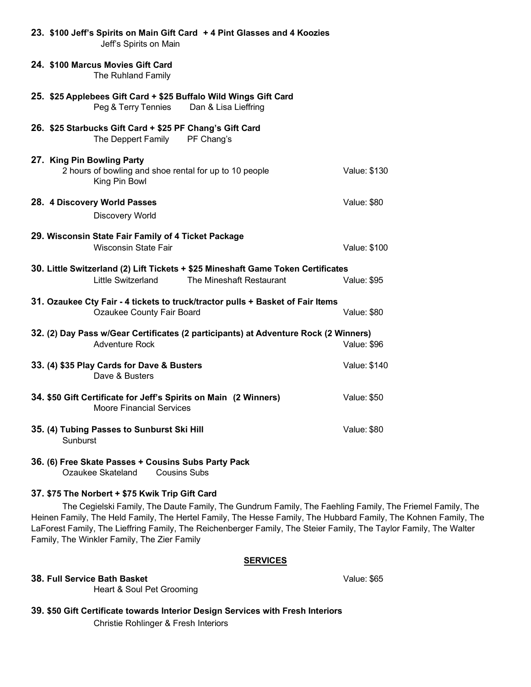| 23. \$100 Jeff's Spirits on Main Gift Card + 4 Pint Glasses and 4 Koozies<br>Jeff's Spirits on Main                                |                     |  |
|------------------------------------------------------------------------------------------------------------------------------------|---------------------|--|
| 24. \$100 Marcus Movies Gift Card<br>The Ruhland Family                                                                            |                     |  |
| 25. \$25 Applebees Gift Card + \$25 Buffalo Wild Wings Gift Card<br>Peg & Terry Tennies<br>Dan & Lisa Lieffring                    |                     |  |
| 26. \$25 Starbucks Gift Card + \$25 PF Chang's Gift Card<br>The Deppert Family PF Chang's                                          |                     |  |
| 27. King Pin Bowling Party<br>2 hours of bowling and shoe rental for up to 10 people<br>King Pin Bowl                              | Value: \$130        |  |
| 28. 4 Discovery World Passes<br><b>Discovery World</b>                                                                             | Value: \$80         |  |
| 29. Wisconsin State Fair Family of 4 Ticket Package<br><b>Wisconsin State Fair</b>                                                 | <b>Value: \$100</b> |  |
| 30. Little Switzerland (2) Lift Tickets + \$25 Mineshaft Game Token Certificates<br>Little Switzerland<br>The Mineshaft Restaurant | <b>Value: \$95</b>  |  |
| 31. Ozaukee Cty Fair - 4 tickets to truck/tractor pulls + Basket of Fair Items<br>Ozaukee County Fair Board<br><b>Value: \$80</b>  |                     |  |
| 32. (2) Day Pass w/Gear Certificates (2 participants) at Adventure Rock (2 Winners)<br><b>Adventure Rock</b>                       | <b>Value: \$96</b>  |  |
| 33. (4) \$35 Play Cards for Dave & Busters<br>Dave & Busters                                                                       | Value: \$140        |  |
| 34. \$50 Gift Certificate for Jeff's Spirits on Main (2 Winners)<br><b>Moore Financial Services</b>                                | <b>Value: \$50</b>  |  |
| 35. (4) Tubing Passes to Sunburst Ski Hill<br>Sunburst                                                                             | <b>Value: \$80</b>  |  |
| 36. (6) Free Skate Passes + Cousins Subs Party Pack<br>Ozaukee Skateland Cousins Subs                                              |                     |  |

# **37. \$75 The Norbert + \$75 Kwik Trip Gift Card**

The Cegielski Family, The Daute Family, The Gundrum Family, The Faehling Family, The Friemel Family, The Heinen Family, The Held Family, The Hertel Family, The Hesse Family, The Hubbard Family, The Kohnen Family, The LaForest Family, The Lieffring Family, The Reichenberger Family, The Steier Family, The Taylor Family, The Walter Family, The Winkler Family, The Zier Family

#### **SERVICES**

#### **38. Full Service Bath Basket** Value: \$65

Heart & Soul Pet Grooming

# **39. \$50 Gift Certificate towards Interior Design Services with Fresh Interiors**

Christie Rohlinger & Fresh Interiors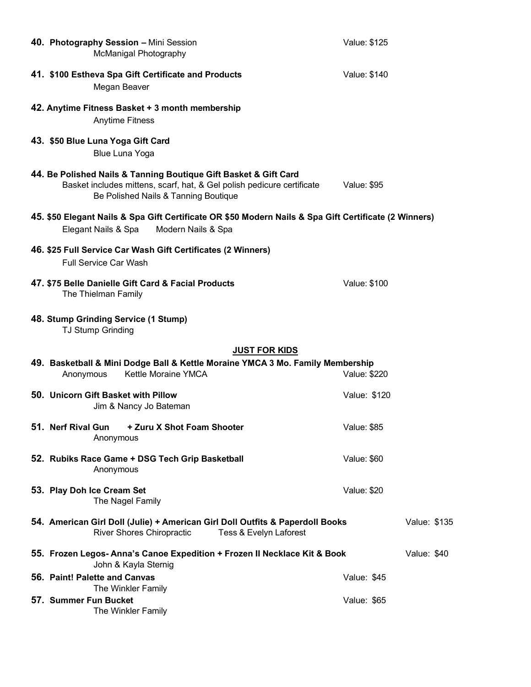| 40. Photography Session - Mini Session<br>McManigal Photography                                                                                                                    | Value: \$125       |
|------------------------------------------------------------------------------------------------------------------------------------------------------------------------------------|--------------------|
| 41. \$100 Estheva Spa Gift Certificate and Products<br>Megan Beaver                                                                                                                | Value: \$140       |
| 42. Anytime Fitness Basket + 3 month membership<br><b>Anytime Fitness</b>                                                                                                          |                    |
| 43. \$50 Blue Luna Yoga Gift Card<br><b>Blue Luna Yoga</b>                                                                                                                         |                    |
| 44. Be Polished Nails & Tanning Boutique Gift Basket & Gift Card<br>Basket includes mittens, scarf, hat, & Gel polish pedicure certificate<br>Be Polished Nails & Tanning Boutique | Value: \$95        |
| 45. \$50 Elegant Nails & Spa Gift Certificate OR \$50 Modern Nails & Spa Gift Certificate (2 Winners)<br>Elegant Nails & Spa<br>Modern Nails & Spa                                 |                    |
| 46. \$25 Full Service Car Wash Gift Certificates (2 Winners)<br><b>Full Service Car Wash</b>                                                                                       |                    |
| 47. \$75 Belle Danielle Gift Card & Facial Products<br>The Thielman Family                                                                                                         | Value: \$100       |
| 48. Stump Grinding Service (1 Stump)<br><b>TJ Stump Grinding</b>                                                                                                                   |                    |
| <b>JUST FOR KIDS</b>                                                                                                                                                               |                    |
| 49. Basketball & Mini Dodge Ball & Kettle Moraine YMCA 3 Mo. Family Membership<br>Kettle Moraine YMCA<br>Anonymous                                                                 | Value: \$220       |
| 50. Unicorn Gift Basket with Pillow<br>Jim & Nancy Jo Bateman                                                                                                                      | Value: \$120       |
| 51. Nerf Rival Gun<br>+ Zuru X Shot Foam Shooter<br>Anonymous                                                                                                                      | Value: \$85        |
| 52. Rubiks Race Game + DSG Tech Grip Basketball<br>Anonymous                                                                                                                       | <b>Value: \$60</b> |
| 53. Play Doh Ice Cream Set<br>The Nagel Family                                                                                                                                     | <b>Value: \$20</b> |
| 54. American Girl Doll (Julie) + American Girl Doll Outfits & Paperdoll Books<br>River Shores Chiropractic<br>Tess & Evelyn Laforest                                               | Value: \$135       |
| 55. Frozen Legos- Anna's Canoe Expedition + Frozen II Necklace Kit & Book<br>John & Kayla Sternig                                                                                  | Value: \$40        |
| 56. Paint! Palette and Canvas<br>The Winkler Family                                                                                                                                | Value: \$45        |
| 57. Summer Fun Bucket<br>The Winkler Family                                                                                                                                        | Value: \$65        |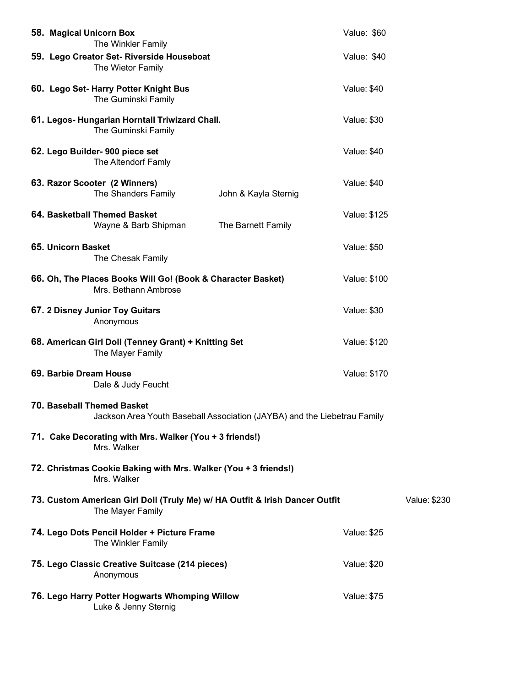|                                                                                                               | 58. Magical Unicorn Box<br>The Winkler Family                                                   |                      | Value: \$60         |              |
|---------------------------------------------------------------------------------------------------------------|-------------------------------------------------------------------------------------------------|----------------------|---------------------|--------------|
|                                                                                                               | 59. Lego Creator Set- Riverside Houseboat<br>The Wietor Family                                  |                      | Value: \$40         |              |
|                                                                                                               | 60. Lego Set- Harry Potter Knight Bus<br>The Guminski Family                                    |                      | <b>Value: \$40</b>  |              |
|                                                                                                               | 61. Legos- Hungarian Horntail Triwizard Chall.<br>The Guminski Family                           |                      | <b>Value: \$30</b>  |              |
|                                                                                                               | 62. Lego Builder- 900 piece set<br>The Altendorf Famly                                          |                      | Value: \$40         |              |
|                                                                                                               | 63. Razor Scooter (2 Winners)<br>The Shanders Family                                            | John & Kayla Sternig | <b>Value: \$40</b>  |              |
|                                                                                                               | 64. Basketball Themed Basket<br>Wayne & Barb Shipman                                            | The Barnett Family   | Value: \$125        |              |
|                                                                                                               | 65. Unicorn Basket<br>The Chesak Family                                                         |                      | <b>Value: \$50</b>  |              |
|                                                                                                               | 66. Oh, The Places Books Will Go! (Book & Character Basket)<br>Mrs. Bethann Ambrose             |                      | <b>Value: \$100</b> |              |
|                                                                                                               | 67. 2 Disney Junior Toy Guitars<br>Anonymous                                                    |                      | <b>Value: \$30</b>  |              |
|                                                                                                               | 68. American Girl Doll (Tenney Grant) + Knitting Set<br>The Mayer Family                        |                      | Value: \$120        |              |
|                                                                                                               | 69. Barbie Dream House<br>Dale & Judy Feucht                                                    |                      | Value: \$170        |              |
| <b>70. Baseball Themed Basket</b><br>Jackson Area Youth Baseball Association (JAYBA) and the Liebetrau Family |                                                                                                 |                      |                     |              |
| 71. Cake Decorating with Mrs. Walker (You + 3 friends!)<br>Mrs. Walker                                        |                                                                                                 |                      |                     |              |
|                                                                                                               | 72. Christmas Cookie Baking with Mrs. Walker (You + 3 friends!)<br>Mrs. Walker                  |                      |                     |              |
|                                                                                                               | 73. Custom American Girl Doll (Truly Me) w/ HA Outfit & Irish Dancer Outfit<br>The Mayer Family |                      |                     | Value: \$230 |
|                                                                                                               | 74. Lego Dots Pencil Holder + Picture Frame<br>The Winkler Family                               |                      | <b>Value: \$25</b>  |              |
|                                                                                                               | 75. Lego Classic Creative Suitcase (214 pieces)<br>Anonymous                                    |                      | <b>Value: \$20</b>  |              |
|                                                                                                               | 76. Lego Harry Potter Hogwarts Whomping Willow<br>Luke & Jenny Sternig                          |                      | <b>Value: \$75</b>  |              |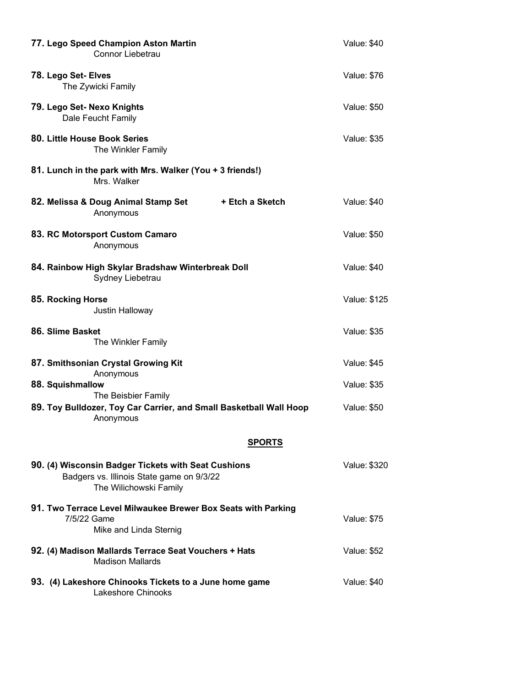| 77. Lego Speed Champion Aston Martin<br>Connor Liebetrau                                                                   | <b>Value: \$40</b> |
|----------------------------------------------------------------------------------------------------------------------------|--------------------|
| 78. Lego Set- Elves<br>The Zywicki Family                                                                                  | <b>Value: \$76</b> |
| 79. Lego Set- Nexo Knights<br>Dale Feucht Family                                                                           | <b>Value: \$50</b> |
| 80. Little House Book Series<br>The Winkler Family                                                                         | <b>Value: \$35</b> |
| 81. Lunch in the park with Mrs. Walker (You + 3 friends!)<br>Mrs. Walker                                                   |                    |
| 82. Melissa & Doug Animal Stamp Set<br>+ Etch a Sketch<br>Anonymous                                                        | <b>Value: \$40</b> |
| 83. RC Motorsport Custom Camaro<br>Anonymous                                                                               | <b>Value: \$50</b> |
| 84. Rainbow High Skylar Bradshaw Winterbreak Doll<br>Sydney Liebetrau                                                      | <b>Value: \$40</b> |
| 85. Rocking Horse<br>Justin Halloway                                                                                       | Value: \$125       |
| 86. Slime Basket<br>The Winkler Family                                                                                     | <b>Value: \$35</b> |
| 87. Smithsonian Crystal Growing Kit<br>Anonymous                                                                           | <b>Value: \$45</b> |
| 88. Squishmallow<br>The Beisbier Family                                                                                    | Value: \$35        |
| 89. Toy Bulldozer, Toy Car Carrier, and Small Basketball Wall Hoop<br>Anonymous                                            | Value: \$50        |
| SPORTS                                                                                                                     |                    |
| 90. (4) Wisconsin Badger Tickets with Seat Cushions<br>Badgers vs. Illinois State game on 9/3/22<br>The Wilichowski Family | Value: \$320       |
| 91. Two Terrace Level Milwaukee Brewer Box Seats with Parking<br>7/5/22 Game<br>Mike and Linda Sternig                     | <b>Value: \$75</b> |
| 92. (4) Madison Mallards Terrace Seat Vouchers + Hats<br><b>Madison Mallards</b>                                           | <b>Value: \$52</b> |
| 93. (4) Lakeshore Chinooks Tickets to a June home game<br><b>Lakeshore Chinooks</b>                                        | Value: \$40        |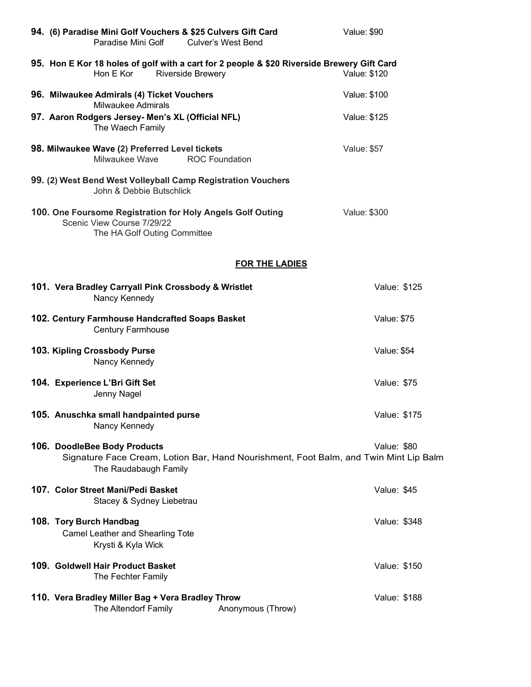|                         | 94. (6) Paradise Mini Golf Vouchers & \$25 Culvers Gift Card<br>Paradise Mini Golf | <b>Culver's West Bend</b>                                                                                              | Value: \$90         |
|-------------------------|------------------------------------------------------------------------------------|------------------------------------------------------------------------------------------------------------------------|---------------------|
|                         | Hon E Kor                                                                          | 95. Hon E Kor 18 holes of golf with a cart for 2 people & \$20 Riverside Brewery Gift Card<br><b>Riverside Brewery</b> | Value: \$120        |
|                         | 96. Milwaukee Admirals (4) Ticket Vouchers<br><b>Milwaukee Admirals</b>            |                                                                                                                        | <b>Value: \$100</b> |
|                         | 97. Aaron Rodgers Jersey- Men's XL (Official NFL)<br>The Waech Family              |                                                                                                                        | Value: \$125        |
|                         | 98. Milwaukee Wave (2) Preferred Level tickets<br>Milwaukee Wave                   | <b>ROC Foundation</b>                                                                                                  | <b>Value: \$57</b>  |
|                         | John & Debbie Butschlick                                                           | 99. (2) West Bend West Volleyball Camp Registration Vouchers                                                           |                     |
|                         | Scenic View Course 7/29/22<br>The HA Golf Outing Committee                         | 100. One Foursome Registration for Holy Angels Golf Outing                                                             | <b>Value: \$300</b> |
|                         |                                                                                    | <b>FOR THE LADIES</b>                                                                                                  |                     |
|                         | 101. Vera Bradley Carryall Pink Crossbody & Wristlet<br>Nancy Kennedy              |                                                                                                                        | Value: \$125        |
|                         | 102. Century Farmhouse Handcrafted Soaps Basket<br><b>Century Farmhouse</b>        |                                                                                                                        | <b>Value: \$75</b>  |
|                         | 103. Kipling Crossbody Purse<br>Nancy Kennedy                                      |                                                                                                                        | <b>Value: \$54</b>  |
|                         | 104. Experience L'Bri Gift Set<br>Jenny Nagel                                      |                                                                                                                        | Value: \$75         |
|                         | 105. Anuschka small handpainted purse<br>Nancy Kennedy                             |                                                                                                                        | Value: \$175        |
|                         | 106. DoodleBee Body Products<br>The Raudabaugh Family                              | Signature Face Cream, Lotion Bar, Hand Nourishment, Foot Balm, and Twin Mint Lip Balm                                  | Value: \$80         |
|                         | 107. Color Street Mani/Pedi Basket<br>Stacey & Sydney Liebetrau                    |                                                                                                                        | Value: \$45         |
| 108. Tory Burch Handbag | Camel Leather and Shearling Tote<br>Krysti & Kyla Wick                             |                                                                                                                        | Value: \$348        |
|                         | 109. Goldwell Hair Product Basket<br>The Fechter Family                            |                                                                                                                        | Value: \$150        |
|                         | 110. Vera Bradley Miller Bag + Vera Bradley Throw<br>The Altendorf Family          | Anonymous (Throw)                                                                                                      | Value: \$188        |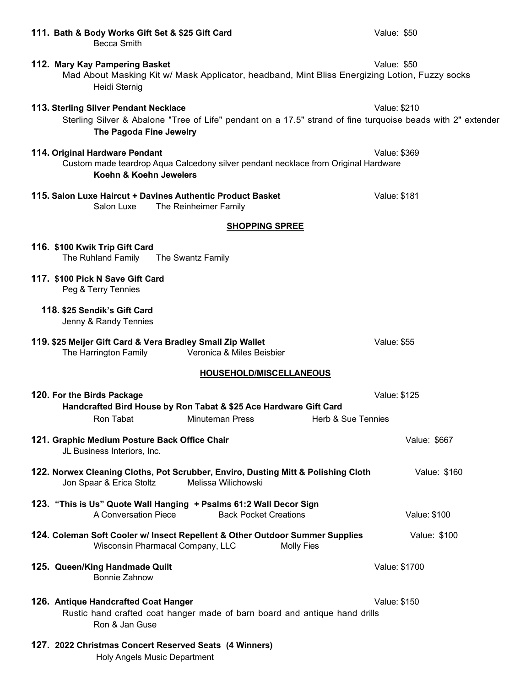| 111. Bath & Body Works Gift Set & \$25 Gift Card<br><b>Becca Smith</b>                                                                                                          | Value: \$50         |
|---------------------------------------------------------------------------------------------------------------------------------------------------------------------------------|---------------------|
| 112. Mary Kay Pampering Basket<br>Mad About Masking Kit w/ Mask Applicator, headband, Mint Bliss Energizing Lotion, Fuzzy socks<br>Heidi Sternig                                | Value: \$50         |
| 113. Sterling Silver Pendant Necklace<br>Sterling Silver & Abalone "Tree of Life" pendant on a 17.5" strand of fine turquoise beads with 2" extender<br>The Pagoda Fine Jewelry | Value: \$210        |
| 114. Original Hardware Pendant<br>Custom made teardrop Aqua Calcedony silver pendant necklace from Original Hardware<br>Koehn & Koehn Jewelers                                  | Value: \$369        |
| 115. Salon Luxe Haircut + Davines Authentic Product Basket<br>Salon Luxe<br>The Reinheimer Family                                                                               | <b>Value: \$181</b> |
| <b>SHOPPING SPREE</b>                                                                                                                                                           |                     |
| 116. \$100 Kwik Trip Gift Card<br>The Ruhland Family<br>The Swantz Family                                                                                                       |                     |
| 117. \$100 Pick N Save Gift Card<br>Peg & Terry Tennies                                                                                                                         |                     |
| 118. \$25 Sendik's Gift Card<br>Jenny & Randy Tennies                                                                                                                           |                     |
| 119. \$25 Meijer Gift Card & Vera Bradley Small Zip Wallet<br>The Harrington Family<br>Veronica & Miles Beisbier                                                                | <b>Value: \$55</b>  |
| <b>HOUSEHOLD/MISCELLANEOUS</b>                                                                                                                                                  |                     |
| 120. For the Birds Package<br>Handcrafted Bird House by Ron Tabat & \$25 Ace Hardware Gift Card<br>Ron Tabat<br>Minuteman Press<br><b>Herb &amp; Sue Tennies</b>                | Value: \$125        |
| 121. Graphic Medium Posture Back Office Chair<br>JL Business Interiors, Inc.                                                                                                    | Value: \$667        |
| 122. Norwex Cleaning Cloths, Pot Scrubber, Enviro, Dusting Mitt & Polishing Cloth<br>Melissa Wilichowski<br>Jon Spaar & Erica Stoltz                                            | Value: \$160        |
| 123. "This is Us" Quote Wall Hanging + Psalms 61:2 Wall Decor Sign<br>A Conversation Piece<br><b>Back Pocket Creations</b>                                                      | Value: \$100        |
| 124. Coleman Soft Cooler w/ Insect Repellent & Other Outdoor Summer Supplies<br>Wisconsin Pharmacal Company, LLC<br><b>Molly Fies</b>                                           | Value: \$100        |
| 125. Queen/King Handmade Quilt<br><b>Bonnie Zahnow</b>                                                                                                                          | Value: \$1700       |
| 126. Antique Handcrafted Coat Hanger<br>Rustic hand crafted coat hanger made of barn board and antique hand drills<br>Ron & Jan Guse                                            | Value: \$150        |
| 127. 2022 Christmas Concert Reserved Seats (4 Winners)<br>Holy Angels Music Department                                                                                          |                     |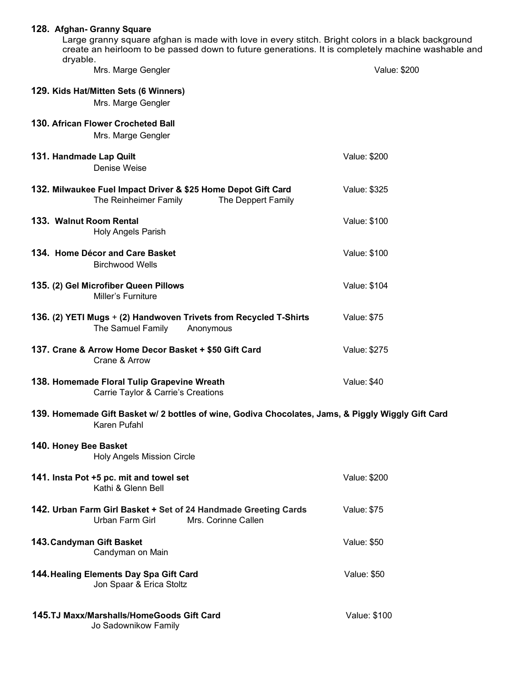| 128. Afghan- Granny Square                                                                                                                                                                             |                     |  |
|--------------------------------------------------------------------------------------------------------------------------------------------------------------------------------------------------------|---------------------|--|
| Large granny square afghan is made with love in every stitch. Bright colors in a black background<br>create an heirloom to be passed down to future generations. It is completely machine washable and |                     |  |
| dryable.                                                                                                                                                                                               |                     |  |
| Mrs. Marge Gengler                                                                                                                                                                                     | Value: \$200        |  |
| 129. Kids Hat/Mitten Sets (6 Winners)                                                                                                                                                                  |                     |  |
| Mrs. Marge Gengler                                                                                                                                                                                     |                     |  |
|                                                                                                                                                                                                        |                     |  |
| 130. African Flower Crocheted Ball                                                                                                                                                                     |                     |  |
| Mrs. Marge Gengler                                                                                                                                                                                     |                     |  |
| 131. Handmade Lap Quilt                                                                                                                                                                                | Value: \$200        |  |
| Denise Weise                                                                                                                                                                                           |                     |  |
| 132. Milwaukee Fuel Impact Driver & \$25 Home Depot Gift Card<br>The Reinheimer Family<br>The Deppert Family                                                                                           | Value: \$325        |  |
|                                                                                                                                                                                                        |                     |  |
| 133. Walnut Room Rental<br>Holy Angels Parish                                                                                                                                                          | <b>Value: \$100</b> |  |
|                                                                                                                                                                                                        |                     |  |
| 134. Home Décor and Care Basket                                                                                                                                                                        | <b>Value: \$100</b> |  |
| <b>Birchwood Wells</b>                                                                                                                                                                                 |                     |  |
| 135. (2) Gel Microfiber Queen Pillows<br>Miller's Furniture                                                                                                                                            | <b>Value: \$104</b> |  |
| 136. (2) YETI Mugs + (2) Handwoven Trivets from Recycled T-Shirts<br>The Samuel Family<br>Anonymous                                                                                                    | <b>Value: \$75</b>  |  |
| 137. Crane & Arrow Home Decor Basket + \$50 Gift Card<br>Crane & Arrow                                                                                                                                 | Value: \$275        |  |
| 138. Homemade Floral Tulip Grapevine Wreath<br>Carrie Taylor & Carrie's Creations                                                                                                                      | Value: \$40         |  |
| 139. Homemade Gift Basket w/ 2 bottles of wine, Godiva Chocolates, Jams, & Piggly Wiggly Gift Card<br>Karen Pufahl                                                                                     |                     |  |
| 140. Honey Bee Basket                                                                                                                                                                                  |                     |  |
| <b>Holy Angels Mission Circle</b>                                                                                                                                                                      |                     |  |
|                                                                                                                                                                                                        | Value: \$200        |  |
| 141. Insta Pot +5 pc. mit and towel set<br>Kathi & Glenn Bell                                                                                                                                          |                     |  |
|                                                                                                                                                                                                        |                     |  |
| 142. Urban Farm Girl Basket + Set of 24 Handmade Greeting Cards<br>Urban Farm Girl<br>Mrs. Corinne Callen                                                                                              | <b>Value: \$75</b>  |  |
| 143. Candyman Gift Basket<br>Candyman on Main                                                                                                                                                          | <b>Value: \$50</b>  |  |
|                                                                                                                                                                                                        |                     |  |
| 144. Healing Elements Day Spa Gift Card<br>Jon Spaar & Erica Stoltz                                                                                                                                    | Value: \$50         |  |
|                                                                                                                                                                                                        |                     |  |
| 145.TJ Maxx/Marshalls/HomeGoods Gift Card<br>Jo Sadownikow Family                                                                                                                                      | <b>Value: \$100</b> |  |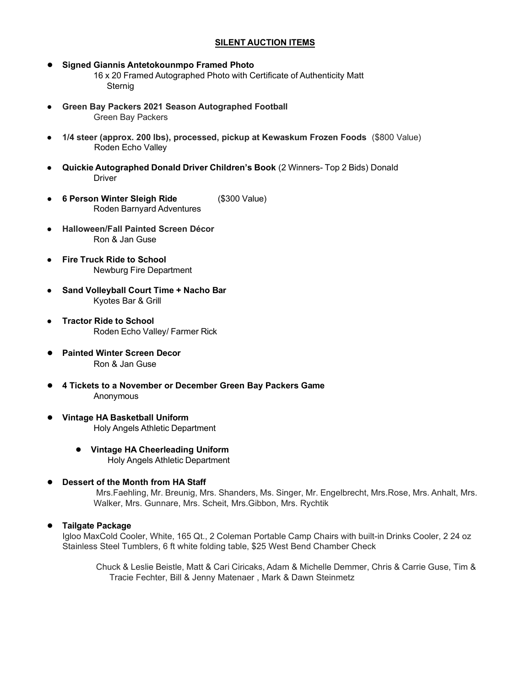## **SILENT AUCTION ITEMS**

**● Signed Giannis Antetokounmpo Framed Photo**

16 x 20 Framed Autographed Photo with Certificate of Authenticity Matt Sternig

- **Green Bay Packers 2021 Season Autographed Football** Green Bay Packers
- **1/4 steer (approx. 200 lbs), processed, pickup at Kewaskum Frozen Foods** (\$800 Value) Roden Echo Valley
- **Quickie Autographed Donald Driver Children's Book** (2 Winners- Top 2 Bids) Donald Driver
- **6 Person Winter Sleigh Ride** (\$300 Value) Roden Barnyard Adventures
- **Halloween/Fall Painted Screen Décor** Ron & Jan Guse
- **Fire Truck Ride to School** Newburg Fire Department
- **Sand Volleyball Court Time + Nacho Bar** Kyotes Bar & Grill
- **Tractor Ride to School** Roden Echo Valley/ Farmer Rick
- **Painted Winter Screen Decor** Ron & Jan Guse
- **● 4 Tickets to a November or December Green Bay Packers Game** Anonymous
- **● Vintage HA Basketball Uniform** Holy Angels Athletic Department
	- **● Vintage HA Cheerleading Uniform** Holy Angels Athletic Department
- **● Dessert of the Month from HA Staff**

Mrs.Faehling, Mr. Breunig, Mrs. Shanders, Ms. Singer, Mr. Engelbrecht, Mrs.Rose, Mrs. Anhalt, Mrs. Walker, Mrs. Gunnare, Mrs. Scheit, Mrs.Gibbon, Mrs. Rychtik

#### **● Tailgate Package**

Igloo MaxCold Cooler, White, 165 Qt., 2 Coleman Portable Camp Chairs with built-in Drinks Cooler, 2 24 oz Stainless Steel Tumblers, 6 ft white folding table, \$25 West Bend Chamber Check

Chuck & Leslie Beistle, Matt & Cari Ciricaks, Adam & Michelle Demmer, Chris & Carrie Guse, Tim & Tracie Fechter, Bill & Jenny Matenaer , Mark & Dawn Steinmetz